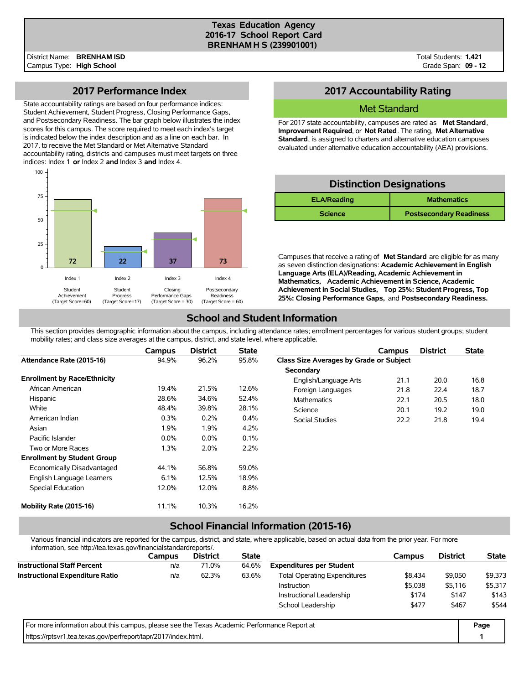#### **Texas Education Agency 2016-17 School Report Card BRENHAM H S (239901001)**

Total Students: **1,421** Grade Span: **09 - 12**

### **2017 Performance Index**

State accountability ratings are based on four performance indices: Student Achievement, Student Progress, Closing Performance Gaps, and Postsecondary Readiness. The bar graph below illustrates the index scores for this campus. The score required to meet each index's target is indicated below the index description and as a line on each bar. In 2017, to receive the Met Standard or Met Alternative Standard accountability rating, districts and campuses must meet targets on three indices: Index 1 **or** Index 2 **and** Index 3 **and** Index 4.



## **2017 Accountability Rating**

### Met Standard

For 2017 state accountability, campuses are rated as **Met Standard**, **Improvement Required**, or **Not Rated**. The rating, **Met Alternative Standard**, is assigned to charters and alternative education campuses evaluated under alternative education accountability (AEA) provisions.

### **Distinction Designations**

| <b>ELA/Reading</b> | <b>Mathematics</b>             |  |  |  |  |
|--------------------|--------------------------------|--|--|--|--|
| <b>Science</b>     | <b>Postsecondary Readiness</b> |  |  |  |  |

Campuses that receive a rating of **Met Standard** are eligible for as many as seven distinction designations: **Academic Achievement in English Language Arts (ELA)/Reading, Academic Achievement in Mathematics, Academic Achievement in Science, Academic Achievement in Social Studies, Top 25%: Student Progress, Top 25%: Closing Performance Gaps,** and **Postsecondary Readiness.**

## **School and Student Information**

This section provides demographic information about the campus, including attendance rates; enrollment percentages for various student groups; student mobility rates; and class size averages at the campus, district, and state level, where applicable.

|                                     | <b>Campus</b> | <b>District</b> | <b>State</b> |                                         | Campus | <b>District</b> | <b>State</b> |
|-------------------------------------|---------------|-----------------|--------------|-----------------------------------------|--------|-----------------|--------------|
| Attendance Rate (2015-16)           | 94.9%         | 96.2%           | 95.8%        | Class Size Averages by Grade or Subject |        |                 |              |
|                                     |               |                 |              | Secondary                               |        |                 |              |
| <b>Enrollment by Race/Ethnicity</b> |               |                 |              | English/Language Arts                   | 21.1   | 20.0            | 16.8         |
| African American                    | 19.4%         | 21.5%           | 12.6%        | Foreign Languages                       | 21.8   | 22.4            | 18.7         |
| Hispanic                            | 28.6%         | 34.6%           | 52.4%        | <b>Mathematics</b>                      | 22.1   | 20.5            | 18.0         |
| White                               | 48.4%         | 39.8%           | 28.1%        | Science                                 | 20.1   | 19.2            | 19.0         |
| American Indian                     | 0.3%          | 0.2%            | 0.4%         | Social Studies                          | 22.2   | 21.8            | 19.4         |
| Asian                               | 1.9%          | 1.9%            | 4.2%         |                                         |        |                 |              |
| Pacific Islander                    | $0.0\%$       | 0.0%            | 0.1%         |                                         |        |                 |              |
| Two or More Races                   | 1.3%          | 2.0%            | 2.2%         |                                         |        |                 |              |
| <b>Enrollment by Student Group</b>  |               |                 |              |                                         |        |                 |              |
| Economically Disadvantaged          | 44.1%         | 56.8%           | 59.0%        |                                         |        |                 |              |
| English Language Learners           | 6.1%          | 12.5%           | 18.9%        |                                         |        |                 |              |
| Special Education                   | 12.0%         | 12.0%           | 8.8%         |                                         |        |                 |              |
| Mobility Rate (2015-16)             | 11.1%         | 10.3%           | 16.2%        |                                         |        |                 |              |

# **School Financial Information (2015-16)**

Various financial indicators are reported for the campus, district, and state, where applicable, based on actual data from the prior year. For more information, see http://tea.texas.gov/financialstandardreports/.

| illiofitiation, see http://tea.texas.gov/illialicialsialidaldieports/.                      |        |                 |              |                                     |         |                 |              |  |
|---------------------------------------------------------------------------------------------|--------|-----------------|--------------|-------------------------------------|---------|-----------------|--------------|--|
|                                                                                             | Campus | <b>District</b> | <b>State</b> |                                     | Campus  | <b>District</b> | <b>State</b> |  |
| <b>Instructional Staff Percent</b>                                                          | n/a    | 71.0%           | 64.6%        | <b>Expenditures per Student</b>     |         |                 |              |  |
| <b>Instructional Expenditure Ratio</b>                                                      | n/a    | 62.3%           | 63.6%        | <b>Total Operating Expenditures</b> | \$8.434 | \$9,050         | \$9,373      |  |
|                                                                                             |        |                 |              | Instruction                         | \$5,038 | \$5,116         | \$5,317      |  |
|                                                                                             |        |                 |              | Instructional Leadership            | \$174   | \$147           | \$143        |  |
|                                                                                             |        |                 |              | School Leadership                   | \$477   | \$467           | \$544        |  |
| For more information about this campus, please see the Texas Academic Performance Report at |        |                 |              |                                     |         |                 |              |  |
| https://rptsvr1.tea.texas.gov/perfreport/tapr/2017/index.html.                              |        |                 |              |                                     |         |                 |              |  |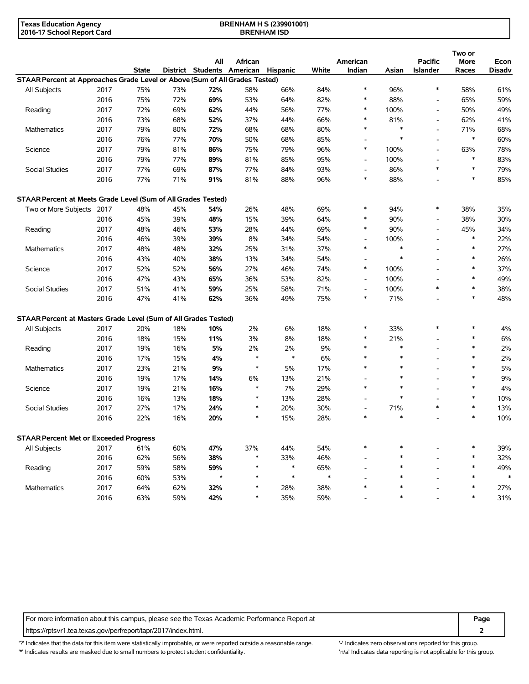| <b>Texas Education Agency</b> | <b>BRENHAM H S (239901001)</b> |  |
|-------------------------------|--------------------------------|--|
| 2016-17 School Report Card    | <b>BRENHAM ISD</b>             |  |

| District Students American<br>Hispanic<br><b>State</b><br>White<br>Indian<br><b>Islander</b><br><b>Disadv</b><br>Asian<br>Races<br>STAAR Percent at Approaches Grade Level or Above (Sum of All Grades Tested)<br>$\ast$<br>75%<br>72%<br>$\ast$<br>2017<br>73%<br>58%<br>66%<br>84%<br>96%<br>58%<br>61%<br>All Subjects<br>2016<br>75%<br>72%<br>69%<br>53%<br>64%<br>82%<br>$\ast$<br>88%<br>65%<br>59%<br>$\overline{\phantom{a}}$<br>2017<br>72%<br>69%<br>62%<br>44%<br>56%<br>77%<br>$\ast$<br>100%<br>50%<br>49%<br>Reading<br>۰<br>73%<br>37%<br>44%<br>81%<br>41%<br>2016<br>68%<br>52%<br>66%<br>$\ast$<br>62%<br>L,<br>2017<br>79%<br>72%<br>68%<br>68%<br>$\ast$<br>$\ast$<br>68%<br>Mathematics<br>80%<br>80%<br>71%<br>$\overline{a}$<br>$\ast$<br>$\ast$<br>2016<br>76%<br>77%<br>70%<br>50%<br>68%<br>85%<br>60%<br>$\overline{a}$<br>2017<br>79%<br>86%<br>75%<br>79%<br>96%<br>$\ast$<br>100%<br>63%<br>78%<br>Science<br>81%<br>L,<br>85%<br>100%<br>$\ast$<br>83%<br>2016<br>79%<br>77%<br>89%<br>81%<br>95%<br>$\overline{\phantom{a}}$<br>$\overline{a}$<br>87%<br>84%<br>$\ast$<br>$\ast$<br>79%<br><b>Social Studies</b><br>2017<br>77%<br>69%<br>77%<br>93%<br>86%<br>2016<br>77%<br>91%<br>81%<br>88%<br>96%<br>$\ast$<br>88%<br>$\ast$<br>85%<br>71%<br>L,<br>STAAR Percent at Meets Grade Level (Sum of All Grades Tested)<br>$\ast$<br>35%<br>Two or More Subjects 2017<br>48%<br>45%<br>54%<br>26%<br>48%<br>69%<br>$\ast$<br>94%<br>38%<br>90%<br>30%<br>2016<br>45%<br>39%<br>48%<br>15%<br>39%<br>64%<br>38%<br>$\ast$<br>$\overline{a}$<br>44%<br>$\ast$<br>90%<br>2017<br>48%<br>46%<br>53%<br>28%<br>69%<br>45%<br>34%<br>Reading<br>$\overline{a}$<br>8%<br>100%<br>$\ast$<br>22%<br>2016<br>46%<br>39%<br>39%<br>34%<br>54%<br>$\overline{\phantom{a}}$<br>$\overline{a}$<br>$\ast$<br>$\ast$<br>27%<br>2017<br>48%<br>32%<br>25%<br>31%<br>37%<br>$\ast$<br><b>Mathematics</b><br>48%<br>26%<br>2016<br>43%<br>40%<br>38%<br>13%<br>34%<br>54%<br>$\ast$<br>$\ast$<br>L.<br>2017<br>52%<br>56%<br>27%<br>46%<br>$\ast$<br>100%<br>$\ast$<br>37%<br>Science<br>52%<br>74%<br>$\ast$<br>2016<br>47%<br>43%<br>65%<br>36%<br>53%<br>82%<br>100%<br>49%<br>$\blacksquare$<br>$\ast$<br>100%<br>$\ast$<br>38%<br>Social Studies<br>2017<br>51%<br>41%<br>59%<br>25%<br>58%<br>71%<br>$\overline{a}$<br>48%<br>2016<br>47%<br>62%<br>36%<br>49%<br>75%<br>$\ast$<br>71%<br>$\ast$<br>41%<br>STAAR Percent at Masters Grade Level (Sum of All Grades Tested)<br>10%<br>2%<br>6%<br>18%<br>33%<br>$\ast$<br>4%<br>All Subjects<br>2017<br>20%<br>18%<br>$\ast$<br>$\ast$<br>8%<br>$\ast$<br>6%<br>2016<br>18%<br>15%<br>11%<br>3%<br>18%<br>$\ast$<br>21%<br>2017<br>19%<br>5%<br>9%<br>$\ast$<br>$\ast$<br>$\ast$<br>2%<br>Reading<br>16%<br>2%<br>2%<br>$\overline{a}$<br>$\ast$<br>$\ast$<br>17%<br>$\ast$<br>$\ast$<br>2%<br>2016<br>15%<br>4%<br>6%<br>23%<br>9%<br>$\ast$<br>5%<br>17%<br>$\ast$<br>5%<br>2017<br>21%<br>$\ast$<br>$\ast$<br>Mathematics<br>$\ast$<br>$\ast$<br>9%<br>2016<br>19%<br>17%<br>14%<br>6%<br>13%<br>21%<br>7%<br>$\ast$<br>4%<br>2017<br>19%<br>16%<br>29%<br>$\ast$<br>$\ast$<br>Science<br>21%<br>$\ast$<br>$\ast$<br>$\ast$<br>2016<br>16%<br>13%<br>18%<br>$\ast$<br>13%<br>28%<br>10%<br>$\overline{a}$<br>$\ast$<br>$\ast$<br><b>Social Studies</b><br>2017<br>27%<br>20%<br>30%<br>71%<br>13%<br>17%<br>24%<br>$\ast$<br>Ĭ.<br>$\ast$<br>$\ast$<br>10%<br>2016<br>22%<br>20%<br>$\ast$<br>15%<br>28%<br>$\ast$<br>16%<br><b>STAAR Percent Met or Exceeded Progress</b><br>61%<br>60%<br>47%<br>37%<br>44%<br>54%<br>$\ast$<br>$\ast$<br>$\ast$<br>39%<br>All Subjects<br>2017<br>$\ast$<br>$\ast$<br>32%<br>2016<br>62%<br>56%<br>38%<br>$\ast$<br>33%<br>46%<br>59%<br>59%<br>$\ast$<br>65%<br>$\ast$<br>49%<br>Reading<br>2017<br>58%<br>$\overline{\phantom{a}}$<br>$\star$<br>$\ast$<br>$\ast$<br>$\ast$<br>2016<br>60%<br>53%<br>$\ast$<br>$\ast$<br>$\ast$<br>2017<br>64%<br>32%<br>28%<br>38%<br>$\ast$<br>$\ast$<br>27%<br>62%<br>Mathematics<br>59%<br>42%<br>35%<br>59%<br>$\ast$<br>$\ast$<br>31%<br>2016<br>63%<br>$\ast$ |  |  | All | African |  | American | <b>Pacific</b> | Two or<br><b>More</b> | Econ |
|----------------------------------------------------------------------------------------------------------------------------------------------------------------------------------------------------------------------------------------------------------------------------------------------------------------------------------------------------------------------------------------------------------------------------------------------------------------------------------------------------------------------------------------------------------------------------------------------------------------------------------------------------------------------------------------------------------------------------------------------------------------------------------------------------------------------------------------------------------------------------------------------------------------------------------------------------------------------------------------------------------------------------------------------------------------------------------------------------------------------------------------------------------------------------------------------------------------------------------------------------------------------------------------------------------------------------------------------------------------------------------------------------------------------------------------------------------------------------------------------------------------------------------------------------------------------------------------------------------------------------------------------------------------------------------------------------------------------------------------------------------------------------------------------------------------------------------------------------------------------------------------------------------------------------------------------------------------------------------------------------------------------------------------------------------------------------------------------------------------------------------------------------------------------------------------------------------------------------------------------------------------------------------------------------------------------------------------------------------------------------------------------------------------------------------------------------------------------------------------------------------------------------------------------------------------------------------------------------------------------------------------------------------------------------------------------------------------------------------------------------------------------------------------------------------------------------------------------------------------------------------------------------------------------------------------------------------------------------------------------------------------------------------------------------------------------------------------------------------------------------------------------------------------------------------------------------------------------------------------------------------------------------------------------------------------------------------------------------------------------------------------------------------------------------------------------------------------------------------------------------------------------------------------------------------------------------------------------------------------------------------------------------------------------------------------------------------------------------------------------------------------------------------------------------------------------------------------------------------------------------------------------------------------------------------------------------------------------------------------------------------------------------------------------------------------------------------------------------------------|--|--|-----|---------|--|----------|----------------|-----------------------|------|
|                                                                                                                                                                                                                                                                                                                                                                                                                                                                                                                                                                                                                                                                                                                                                                                                                                                                                                                                                                                                                                                                                                                                                                                                                                                                                                                                                                                                                                                                                                                                                                                                                                                                                                                                                                                                                                                                                                                                                                                                                                                                                                                                                                                                                                                                                                                                                                                                                                                                                                                                                                                                                                                                                                                                                                                                                                                                                                                                                                                                                                                                                                                                                                                                                                                                                                                                                                                                                                                                                                                                                                                                                                                                                                                                                                                                                                                                                                                                                                                                                                                                                                                |  |  |     |         |  |          |                |                       |      |
|                                                                                                                                                                                                                                                                                                                                                                                                                                                                                                                                                                                                                                                                                                                                                                                                                                                                                                                                                                                                                                                                                                                                                                                                                                                                                                                                                                                                                                                                                                                                                                                                                                                                                                                                                                                                                                                                                                                                                                                                                                                                                                                                                                                                                                                                                                                                                                                                                                                                                                                                                                                                                                                                                                                                                                                                                                                                                                                                                                                                                                                                                                                                                                                                                                                                                                                                                                                                                                                                                                                                                                                                                                                                                                                                                                                                                                                                                                                                                                                                                                                                                                                |  |  |     |         |  |          |                |                       |      |
|                                                                                                                                                                                                                                                                                                                                                                                                                                                                                                                                                                                                                                                                                                                                                                                                                                                                                                                                                                                                                                                                                                                                                                                                                                                                                                                                                                                                                                                                                                                                                                                                                                                                                                                                                                                                                                                                                                                                                                                                                                                                                                                                                                                                                                                                                                                                                                                                                                                                                                                                                                                                                                                                                                                                                                                                                                                                                                                                                                                                                                                                                                                                                                                                                                                                                                                                                                                                                                                                                                                                                                                                                                                                                                                                                                                                                                                                                                                                                                                                                                                                                                                |  |  |     |         |  |          |                |                       |      |
|                                                                                                                                                                                                                                                                                                                                                                                                                                                                                                                                                                                                                                                                                                                                                                                                                                                                                                                                                                                                                                                                                                                                                                                                                                                                                                                                                                                                                                                                                                                                                                                                                                                                                                                                                                                                                                                                                                                                                                                                                                                                                                                                                                                                                                                                                                                                                                                                                                                                                                                                                                                                                                                                                                                                                                                                                                                                                                                                                                                                                                                                                                                                                                                                                                                                                                                                                                                                                                                                                                                                                                                                                                                                                                                                                                                                                                                                                                                                                                                                                                                                                                                |  |  |     |         |  |          |                |                       |      |
|                                                                                                                                                                                                                                                                                                                                                                                                                                                                                                                                                                                                                                                                                                                                                                                                                                                                                                                                                                                                                                                                                                                                                                                                                                                                                                                                                                                                                                                                                                                                                                                                                                                                                                                                                                                                                                                                                                                                                                                                                                                                                                                                                                                                                                                                                                                                                                                                                                                                                                                                                                                                                                                                                                                                                                                                                                                                                                                                                                                                                                                                                                                                                                                                                                                                                                                                                                                                                                                                                                                                                                                                                                                                                                                                                                                                                                                                                                                                                                                                                                                                                                                |  |  |     |         |  |          |                |                       |      |
|                                                                                                                                                                                                                                                                                                                                                                                                                                                                                                                                                                                                                                                                                                                                                                                                                                                                                                                                                                                                                                                                                                                                                                                                                                                                                                                                                                                                                                                                                                                                                                                                                                                                                                                                                                                                                                                                                                                                                                                                                                                                                                                                                                                                                                                                                                                                                                                                                                                                                                                                                                                                                                                                                                                                                                                                                                                                                                                                                                                                                                                                                                                                                                                                                                                                                                                                                                                                                                                                                                                                                                                                                                                                                                                                                                                                                                                                                                                                                                                                                                                                                                                |  |  |     |         |  |          |                |                       |      |
|                                                                                                                                                                                                                                                                                                                                                                                                                                                                                                                                                                                                                                                                                                                                                                                                                                                                                                                                                                                                                                                                                                                                                                                                                                                                                                                                                                                                                                                                                                                                                                                                                                                                                                                                                                                                                                                                                                                                                                                                                                                                                                                                                                                                                                                                                                                                                                                                                                                                                                                                                                                                                                                                                                                                                                                                                                                                                                                                                                                                                                                                                                                                                                                                                                                                                                                                                                                                                                                                                                                                                                                                                                                                                                                                                                                                                                                                                                                                                                                                                                                                                                                |  |  |     |         |  |          |                |                       |      |
|                                                                                                                                                                                                                                                                                                                                                                                                                                                                                                                                                                                                                                                                                                                                                                                                                                                                                                                                                                                                                                                                                                                                                                                                                                                                                                                                                                                                                                                                                                                                                                                                                                                                                                                                                                                                                                                                                                                                                                                                                                                                                                                                                                                                                                                                                                                                                                                                                                                                                                                                                                                                                                                                                                                                                                                                                                                                                                                                                                                                                                                                                                                                                                                                                                                                                                                                                                                                                                                                                                                                                                                                                                                                                                                                                                                                                                                                                                                                                                                                                                                                                                                |  |  |     |         |  |          |                |                       |      |
|                                                                                                                                                                                                                                                                                                                                                                                                                                                                                                                                                                                                                                                                                                                                                                                                                                                                                                                                                                                                                                                                                                                                                                                                                                                                                                                                                                                                                                                                                                                                                                                                                                                                                                                                                                                                                                                                                                                                                                                                                                                                                                                                                                                                                                                                                                                                                                                                                                                                                                                                                                                                                                                                                                                                                                                                                                                                                                                                                                                                                                                                                                                                                                                                                                                                                                                                                                                                                                                                                                                                                                                                                                                                                                                                                                                                                                                                                                                                                                                                                                                                                                                |  |  |     |         |  |          |                |                       |      |
|                                                                                                                                                                                                                                                                                                                                                                                                                                                                                                                                                                                                                                                                                                                                                                                                                                                                                                                                                                                                                                                                                                                                                                                                                                                                                                                                                                                                                                                                                                                                                                                                                                                                                                                                                                                                                                                                                                                                                                                                                                                                                                                                                                                                                                                                                                                                                                                                                                                                                                                                                                                                                                                                                                                                                                                                                                                                                                                                                                                                                                                                                                                                                                                                                                                                                                                                                                                                                                                                                                                                                                                                                                                                                                                                                                                                                                                                                                                                                                                                                                                                                                                |  |  |     |         |  |          |                |                       |      |
|                                                                                                                                                                                                                                                                                                                                                                                                                                                                                                                                                                                                                                                                                                                                                                                                                                                                                                                                                                                                                                                                                                                                                                                                                                                                                                                                                                                                                                                                                                                                                                                                                                                                                                                                                                                                                                                                                                                                                                                                                                                                                                                                                                                                                                                                                                                                                                                                                                                                                                                                                                                                                                                                                                                                                                                                                                                                                                                                                                                                                                                                                                                                                                                                                                                                                                                                                                                                                                                                                                                                                                                                                                                                                                                                                                                                                                                                                                                                                                                                                                                                                                                |  |  |     |         |  |          |                |                       |      |
|                                                                                                                                                                                                                                                                                                                                                                                                                                                                                                                                                                                                                                                                                                                                                                                                                                                                                                                                                                                                                                                                                                                                                                                                                                                                                                                                                                                                                                                                                                                                                                                                                                                                                                                                                                                                                                                                                                                                                                                                                                                                                                                                                                                                                                                                                                                                                                                                                                                                                                                                                                                                                                                                                                                                                                                                                                                                                                                                                                                                                                                                                                                                                                                                                                                                                                                                                                                                                                                                                                                                                                                                                                                                                                                                                                                                                                                                                                                                                                                                                                                                                                                |  |  |     |         |  |          |                |                       |      |
|                                                                                                                                                                                                                                                                                                                                                                                                                                                                                                                                                                                                                                                                                                                                                                                                                                                                                                                                                                                                                                                                                                                                                                                                                                                                                                                                                                                                                                                                                                                                                                                                                                                                                                                                                                                                                                                                                                                                                                                                                                                                                                                                                                                                                                                                                                                                                                                                                                                                                                                                                                                                                                                                                                                                                                                                                                                                                                                                                                                                                                                                                                                                                                                                                                                                                                                                                                                                                                                                                                                                                                                                                                                                                                                                                                                                                                                                                                                                                                                                                                                                                                                |  |  |     |         |  |          |                |                       |      |
|                                                                                                                                                                                                                                                                                                                                                                                                                                                                                                                                                                                                                                                                                                                                                                                                                                                                                                                                                                                                                                                                                                                                                                                                                                                                                                                                                                                                                                                                                                                                                                                                                                                                                                                                                                                                                                                                                                                                                                                                                                                                                                                                                                                                                                                                                                                                                                                                                                                                                                                                                                                                                                                                                                                                                                                                                                                                                                                                                                                                                                                                                                                                                                                                                                                                                                                                                                                                                                                                                                                                                                                                                                                                                                                                                                                                                                                                                                                                                                                                                                                                                                                |  |  |     |         |  |          |                |                       |      |
|                                                                                                                                                                                                                                                                                                                                                                                                                                                                                                                                                                                                                                                                                                                                                                                                                                                                                                                                                                                                                                                                                                                                                                                                                                                                                                                                                                                                                                                                                                                                                                                                                                                                                                                                                                                                                                                                                                                                                                                                                                                                                                                                                                                                                                                                                                                                                                                                                                                                                                                                                                                                                                                                                                                                                                                                                                                                                                                                                                                                                                                                                                                                                                                                                                                                                                                                                                                                                                                                                                                                                                                                                                                                                                                                                                                                                                                                                                                                                                                                                                                                                                                |  |  |     |         |  |          |                |                       |      |
|                                                                                                                                                                                                                                                                                                                                                                                                                                                                                                                                                                                                                                                                                                                                                                                                                                                                                                                                                                                                                                                                                                                                                                                                                                                                                                                                                                                                                                                                                                                                                                                                                                                                                                                                                                                                                                                                                                                                                                                                                                                                                                                                                                                                                                                                                                                                                                                                                                                                                                                                                                                                                                                                                                                                                                                                                                                                                                                                                                                                                                                                                                                                                                                                                                                                                                                                                                                                                                                                                                                                                                                                                                                                                                                                                                                                                                                                                                                                                                                                                                                                                                                |  |  |     |         |  |          |                |                       |      |
|                                                                                                                                                                                                                                                                                                                                                                                                                                                                                                                                                                                                                                                                                                                                                                                                                                                                                                                                                                                                                                                                                                                                                                                                                                                                                                                                                                                                                                                                                                                                                                                                                                                                                                                                                                                                                                                                                                                                                                                                                                                                                                                                                                                                                                                                                                                                                                                                                                                                                                                                                                                                                                                                                                                                                                                                                                                                                                                                                                                                                                                                                                                                                                                                                                                                                                                                                                                                                                                                                                                                                                                                                                                                                                                                                                                                                                                                                                                                                                                                                                                                                                                |  |  |     |         |  |          |                |                       |      |
|                                                                                                                                                                                                                                                                                                                                                                                                                                                                                                                                                                                                                                                                                                                                                                                                                                                                                                                                                                                                                                                                                                                                                                                                                                                                                                                                                                                                                                                                                                                                                                                                                                                                                                                                                                                                                                                                                                                                                                                                                                                                                                                                                                                                                                                                                                                                                                                                                                                                                                                                                                                                                                                                                                                                                                                                                                                                                                                                                                                                                                                                                                                                                                                                                                                                                                                                                                                                                                                                                                                                                                                                                                                                                                                                                                                                                                                                                                                                                                                                                                                                                                                |  |  |     |         |  |          |                |                       |      |
|                                                                                                                                                                                                                                                                                                                                                                                                                                                                                                                                                                                                                                                                                                                                                                                                                                                                                                                                                                                                                                                                                                                                                                                                                                                                                                                                                                                                                                                                                                                                                                                                                                                                                                                                                                                                                                                                                                                                                                                                                                                                                                                                                                                                                                                                                                                                                                                                                                                                                                                                                                                                                                                                                                                                                                                                                                                                                                                                                                                                                                                                                                                                                                                                                                                                                                                                                                                                                                                                                                                                                                                                                                                                                                                                                                                                                                                                                                                                                                                                                                                                                                                |  |  |     |         |  |          |                |                       |      |
|                                                                                                                                                                                                                                                                                                                                                                                                                                                                                                                                                                                                                                                                                                                                                                                                                                                                                                                                                                                                                                                                                                                                                                                                                                                                                                                                                                                                                                                                                                                                                                                                                                                                                                                                                                                                                                                                                                                                                                                                                                                                                                                                                                                                                                                                                                                                                                                                                                                                                                                                                                                                                                                                                                                                                                                                                                                                                                                                                                                                                                                                                                                                                                                                                                                                                                                                                                                                                                                                                                                                                                                                                                                                                                                                                                                                                                                                                                                                                                                                                                                                                                                |  |  |     |         |  |          |                |                       |      |
|                                                                                                                                                                                                                                                                                                                                                                                                                                                                                                                                                                                                                                                                                                                                                                                                                                                                                                                                                                                                                                                                                                                                                                                                                                                                                                                                                                                                                                                                                                                                                                                                                                                                                                                                                                                                                                                                                                                                                                                                                                                                                                                                                                                                                                                                                                                                                                                                                                                                                                                                                                                                                                                                                                                                                                                                                                                                                                                                                                                                                                                                                                                                                                                                                                                                                                                                                                                                                                                                                                                                                                                                                                                                                                                                                                                                                                                                                                                                                                                                                                                                                                                |  |  |     |         |  |          |                |                       |      |
|                                                                                                                                                                                                                                                                                                                                                                                                                                                                                                                                                                                                                                                                                                                                                                                                                                                                                                                                                                                                                                                                                                                                                                                                                                                                                                                                                                                                                                                                                                                                                                                                                                                                                                                                                                                                                                                                                                                                                                                                                                                                                                                                                                                                                                                                                                                                                                                                                                                                                                                                                                                                                                                                                                                                                                                                                                                                                                                                                                                                                                                                                                                                                                                                                                                                                                                                                                                                                                                                                                                                                                                                                                                                                                                                                                                                                                                                                                                                                                                                                                                                                                                |  |  |     |         |  |          |                |                       |      |
|                                                                                                                                                                                                                                                                                                                                                                                                                                                                                                                                                                                                                                                                                                                                                                                                                                                                                                                                                                                                                                                                                                                                                                                                                                                                                                                                                                                                                                                                                                                                                                                                                                                                                                                                                                                                                                                                                                                                                                                                                                                                                                                                                                                                                                                                                                                                                                                                                                                                                                                                                                                                                                                                                                                                                                                                                                                                                                                                                                                                                                                                                                                                                                                                                                                                                                                                                                                                                                                                                                                                                                                                                                                                                                                                                                                                                                                                                                                                                                                                                                                                                                                |  |  |     |         |  |          |                |                       |      |
|                                                                                                                                                                                                                                                                                                                                                                                                                                                                                                                                                                                                                                                                                                                                                                                                                                                                                                                                                                                                                                                                                                                                                                                                                                                                                                                                                                                                                                                                                                                                                                                                                                                                                                                                                                                                                                                                                                                                                                                                                                                                                                                                                                                                                                                                                                                                                                                                                                                                                                                                                                                                                                                                                                                                                                                                                                                                                                                                                                                                                                                                                                                                                                                                                                                                                                                                                                                                                                                                                                                                                                                                                                                                                                                                                                                                                                                                                                                                                                                                                                                                                                                |  |  |     |         |  |          |                |                       |      |
|                                                                                                                                                                                                                                                                                                                                                                                                                                                                                                                                                                                                                                                                                                                                                                                                                                                                                                                                                                                                                                                                                                                                                                                                                                                                                                                                                                                                                                                                                                                                                                                                                                                                                                                                                                                                                                                                                                                                                                                                                                                                                                                                                                                                                                                                                                                                                                                                                                                                                                                                                                                                                                                                                                                                                                                                                                                                                                                                                                                                                                                                                                                                                                                                                                                                                                                                                                                                                                                                                                                                                                                                                                                                                                                                                                                                                                                                                                                                                                                                                                                                                                                |  |  |     |         |  |          |                |                       |      |
|                                                                                                                                                                                                                                                                                                                                                                                                                                                                                                                                                                                                                                                                                                                                                                                                                                                                                                                                                                                                                                                                                                                                                                                                                                                                                                                                                                                                                                                                                                                                                                                                                                                                                                                                                                                                                                                                                                                                                                                                                                                                                                                                                                                                                                                                                                                                                                                                                                                                                                                                                                                                                                                                                                                                                                                                                                                                                                                                                                                                                                                                                                                                                                                                                                                                                                                                                                                                                                                                                                                                                                                                                                                                                                                                                                                                                                                                                                                                                                                                                                                                                                                |  |  |     |         |  |          |                |                       |      |
|                                                                                                                                                                                                                                                                                                                                                                                                                                                                                                                                                                                                                                                                                                                                                                                                                                                                                                                                                                                                                                                                                                                                                                                                                                                                                                                                                                                                                                                                                                                                                                                                                                                                                                                                                                                                                                                                                                                                                                                                                                                                                                                                                                                                                                                                                                                                                                                                                                                                                                                                                                                                                                                                                                                                                                                                                                                                                                                                                                                                                                                                                                                                                                                                                                                                                                                                                                                                                                                                                                                                                                                                                                                                                                                                                                                                                                                                                                                                                                                                                                                                                                                |  |  |     |         |  |          |                |                       |      |
|                                                                                                                                                                                                                                                                                                                                                                                                                                                                                                                                                                                                                                                                                                                                                                                                                                                                                                                                                                                                                                                                                                                                                                                                                                                                                                                                                                                                                                                                                                                                                                                                                                                                                                                                                                                                                                                                                                                                                                                                                                                                                                                                                                                                                                                                                                                                                                                                                                                                                                                                                                                                                                                                                                                                                                                                                                                                                                                                                                                                                                                                                                                                                                                                                                                                                                                                                                                                                                                                                                                                                                                                                                                                                                                                                                                                                                                                                                                                                                                                                                                                                                                |  |  |     |         |  |          |                |                       |      |
|                                                                                                                                                                                                                                                                                                                                                                                                                                                                                                                                                                                                                                                                                                                                                                                                                                                                                                                                                                                                                                                                                                                                                                                                                                                                                                                                                                                                                                                                                                                                                                                                                                                                                                                                                                                                                                                                                                                                                                                                                                                                                                                                                                                                                                                                                                                                                                                                                                                                                                                                                                                                                                                                                                                                                                                                                                                                                                                                                                                                                                                                                                                                                                                                                                                                                                                                                                                                                                                                                                                                                                                                                                                                                                                                                                                                                                                                                                                                                                                                                                                                                                                |  |  |     |         |  |          |                |                       |      |
|                                                                                                                                                                                                                                                                                                                                                                                                                                                                                                                                                                                                                                                                                                                                                                                                                                                                                                                                                                                                                                                                                                                                                                                                                                                                                                                                                                                                                                                                                                                                                                                                                                                                                                                                                                                                                                                                                                                                                                                                                                                                                                                                                                                                                                                                                                                                                                                                                                                                                                                                                                                                                                                                                                                                                                                                                                                                                                                                                                                                                                                                                                                                                                                                                                                                                                                                                                                                                                                                                                                                                                                                                                                                                                                                                                                                                                                                                                                                                                                                                                                                                                                |  |  |     |         |  |          |                |                       |      |
|                                                                                                                                                                                                                                                                                                                                                                                                                                                                                                                                                                                                                                                                                                                                                                                                                                                                                                                                                                                                                                                                                                                                                                                                                                                                                                                                                                                                                                                                                                                                                                                                                                                                                                                                                                                                                                                                                                                                                                                                                                                                                                                                                                                                                                                                                                                                                                                                                                                                                                                                                                                                                                                                                                                                                                                                                                                                                                                                                                                                                                                                                                                                                                                                                                                                                                                                                                                                                                                                                                                                                                                                                                                                                                                                                                                                                                                                                                                                                                                                                                                                                                                |  |  |     |         |  |          |                |                       |      |
|                                                                                                                                                                                                                                                                                                                                                                                                                                                                                                                                                                                                                                                                                                                                                                                                                                                                                                                                                                                                                                                                                                                                                                                                                                                                                                                                                                                                                                                                                                                                                                                                                                                                                                                                                                                                                                                                                                                                                                                                                                                                                                                                                                                                                                                                                                                                                                                                                                                                                                                                                                                                                                                                                                                                                                                                                                                                                                                                                                                                                                                                                                                                                                                                                                                                                                                                                                                                                                                                                                                                                                                                                                                                                                                                                                                                                                                                                                                                                                                                                                                                                                                |  |  |     |         |  |          |                |                       |      |
|                                                                                                                                                                                                                                                                                                                                                                                                                                                                                                                                                                                                                                                                                                                                                                                                                                                                                                                                                                                                                                                                                                                                                                                                                                                                                                                                                                                                                                                                                                                                                                                                                                                                                                                                                                                                                                                                                                                                                                                                                                                                                                                                                                                                                                                                                                                                                                                                                                                                                                                                                                                                                                                                                                                                                                                                                                                                                                                                                                                                                                                                                                                                                                                                                                                                                                                                                                                                                                                                                                                                                                                                                                                                                                                                                                                                                                                                                                                                                                                                                                                                                                                |  |  |     |         |  |          |                |                       |      |
|                                                                                                                                                                                                                                                                                                                                                                                                                                                                                                                                                                                                                                                                                                                                                                                                                                                                                                                                                                                                                                                                                                                                                                                                                                                                                                                                                                                                                                                                                                                                                                                                                                                                                                                                                                                                                                                                                                                                                                                                                                                                                                                                                                                                                                                                                                                                                                                                                                                                                                                                                                                                                                                                                                                                                                                                                                                                                                                                                                                                                                                                                                                                                                                                                                                                                                                                                                                                                                                                                                                                                                                                                                                                                                                                                                                                                                                                                                                                                                                                                                                                                                                |  |  |     |         |  |          |                |                       |      |
|                                                                                                                                                                                                                                                                                                                                                                                                                                                                                                                                                                                                                                                                                                                                                                                                                                                                                                                                                                                                                                                                                                                                                                                                                                                                                                                                                                                                                                                                                                                                                                                                                                                                                                                                                                                                                                                                                                                                                                                                                                                                                                                                                                                                                                                                                                                                                                                                                                                                                                                                                                                                                                                                                                                                                                                                                                                                                                                                                                                                                                                                                                                                                                                                                                                                                                                                                                                                                                                                                                                                                                                                                                                                                                                                                                                                                                                                                                                                                                                                                                                                                                                |  |  |     |         |  |          |                |                       |      |
|                                                                                                                                                                                                                                                                                                                                                                                                                                                                                                                                                                                                                                                                                                                                                                                                                                                                                                                                                                                                                                                                                                                                                                                                                                                                                                                                                                                                                                                                                                                                                                                                                                                                                                                                                                                                                                                                                                                                                                                                                                                                                                                                                                                                                                                                                                                                                                                                                                                                                                                                                                                                                                                                                                                                                                                                                                                                                                                                                                                                                                                                                                                                                                                                                                                                                                                                                                                                                                                                                                                                                                                                                                                                                                                                                                                                                                                                                                                                                                                                                                                                                                                |  |  |     |         |  |          |                |                       |      |
|                                                                                                                                                                                                                                                                                                                                                                                                                                                                                                                                                                                                                                                                                                                                                                                                                                                                                                                                                                                                                                                                                                                                                                                                                                                                                                                                                                                                                                                                                                                                                                                                                                                                                                                                                                                                                                                                                                                                                                                                                                                                                                                                                                                                                                                                                                                                                                                                                                                                                                                                                                                                                                                                                                                                                                                                                                                                                                                                                                                                                                                                                                                                                                                                                                                                                                                                                                                                                                                                                                                                                                                                                                                                                                                                                                                                                                                                                                                                                                                                                                                                                                                |  |  |     |         |  |          |                |                       |      |
|                                                                                                                                                                                                                                                                                                                                                                                                                                                                                                                                                                                                                                                                                                                                                                                                                                                                                                                                                                                                                                                                                                                                                                                                                                                                                                                                                                                                                                                                                                                                                                                                                                                                                                                                                                                                                                                                                                                                                                                                                                                                                                                                                                                                                                                                                                                                                                                                                                                                                                                                                                                                                                                                                                                                                                                                                                                                                                                                                                                                                                                                                                                                                                                                                                                                                                                                                                                                                                                                                                                                                                                                                                                                                                                                                                                                                                                                                                                                                                                                                                                                                                                |  |  |     |         |  |          |                |                       |      |
|                                                                                                                                                                                                                                                                                                                                                                                                                                                                                                                                                                                                                                                                                                                                                                                                                                                                                                                                                                                                                                                                                                                                                                                                                                                                                                                                                                                                                                                                                                                                                                                                                                                                                                                                                                                                                                                                                                                                                                                                                                                                                                                                                                                                                                                                                                                                                                                                                                                                                                                                                                                                                                                                                                                                                                                                                                                                                                                                                                                                                                                                                                                                                                                                                                                                                                                                                                                                                                                                                                                                                                                                                                                                                                                                                                                                                                                                                                                                                                                                                                                                                                                |  |  |     |         |  |          |                |                       |      |
|                                                                                                                                                                                                                                                                                                                                                                                                                                                                                                                                                                                                                                                                                                                                                                                                                                                                                                                                                                                                                                                                                                                                                                                                                                                                                                                                                                                                                                                                                                                                                                                                                                                                                                                                                                                                                                                                                                                                                                                                                                                                                                                                                                                                                                                                                                                                                                                                                                                                                                                                                                                                                                                                                                                                                                                                                                                                                                                                                                                                                                                                                                                                                                                                                                                                                                                                                                                                                                                                                                                                                                                                                                                                                                                                                                                                                                                                                                                                                                                                                                                                                                                |  |  |     |         |  |          |                |                       |      |
|                                                                                                                                                                                                                                                                                                                                                                                                                                                                                                                                                                                                                                                                                                                                                                                                                                                                                                                                                                                                                                                                                                                                                                                                                                                                                                                                                                                                                                                                                                                                                                                                                                                                                                                                                                                                                                                                                                                                                                                                                                                                                                                                                                                                                                                                                                                                                                                                                                                                                                                                                                                                                                                                                                                                                                                                                                                                                                                                                                                                                                                                                                                                                                                                                                                                                                                                                                                                                                                                                                                                                                                                                                                                                                                                                                                                                                                                                                                                                                                                                                                                                                                |  |  |     |         |  |          |                |                       |      |

For more information about this campus, please see the Texas Academic Performance Report at **Page Page** https://rptsvr1.tea.texas.gov/perfreport/tapr/2017/index.html. **2**

'?' Indicates that the data for this item were statistically improbable, or were reported outside a reasonable range. '-' Indicates zero observations reported for this group. '\*' Indicates results are masked due to small numbers to protect student confidentiality. Moreover, the context of the strong is not applicable for this group.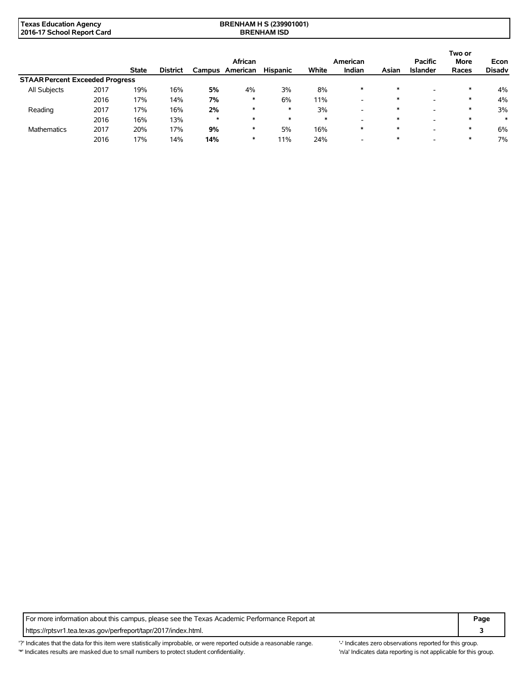| Texas Education Agency     | <b>BRENHAM H S (239901001)</b> |
|----------------------------|--------------------------------|
| 2016-17 School Report Card | <b>BRENHAM ISD</b>             |

|                                        |      |              |                 |         | African  |                 |        | American                 |        | <b>Pacific</b>           | Two or<br><b>More</b> | Econ          |
|----------------------------------------|------|--------------|-----------------|---------|----------|-----------------|--------|--------------------------|--------|--------------------------|-----------------------|---------------|
|                                        |      | <b>State</b> | <b>District</b> | Campus  | American | <b>Hispanic</b> | White  | Indian                   | Asian  | <b>Islander</b>          | Races                 | <b>Disadv</b> |
| <b>STAAR Percent Exceeded Progress</b> |      |              |                 |         |          |                 |        |                          |        |                          |                       |               |
| All Subjects                           | 2017 | 19%          | 16%             | 5%      | 4%       | 3%              | 8%     | $\ast$                   |        | $\overline{\phantom{a}}$ | $\ast$                | 4%            |
|                                        | 2016 | 17%          | 14%             | 7%      | ∗        | 6%              | 11%    | $\overline{\phantom{0}}$ | $\ast$ |                          | ∗                     | 4%            |
| Reading                                | 2017 | 17%          | 16%             | 2%      | $\ast$   | $\ast$          | 3%     | -                        | $\ast$ | -                        |                       | 3%            |
|                                        | 2016 | 16%          | 13%             | $\star$ | $\ast$   | $\ast$          | $\ast$ | -                        | $\ast$ |                          | $\ast$                | $\ast$        |
| <b>Mathematics</b>                     | 2017 | 20%          | 17%             | 9%      | ∗        | 5%              | 16%    | $\ast$                   | $\ast$ | -                        | $\ast$                | 6%            |
|                                        | 2016 | 17%          | 14%             | 14%     | ∗        | 11%             | 24%    | -                        |        |                          |                       | 7%            |

For more information about this campus, please see the Texas Academic Performance Report at **Page Page** https://rptsvr1.tea.texas.gov/perfreport/tapr/2017/index.html. **3**

'?' Indicates that the data for this item were statistically improbable, or were reported outside a reasonable range. '-' Indicates zero observations reported for this group. \*' Indicates results are masked due to small numbers to protect student confidentiality. Ma' Indicates data reporting is not applicable for this group.